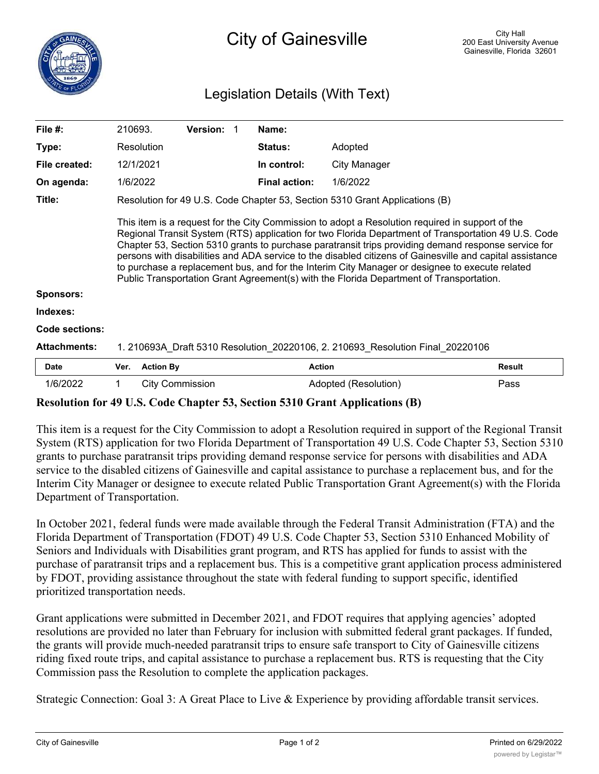## Legislation Details (With Text)

| File $#$ :            | 210693.                                                                                                                                                                                                                                                                                                                                                                                                                                                                                                                                                                                                                |                        | <b>Version:</b> |  | Name:                |                      |               |
|-----------------------|------------------------------------------------------------------------------------------------------------------------------------------------------------------------------------------------------------------------------------------------------------------------------------------------------------------------------------------------------------------------------------------------------------------------------------------------------------------------------------------------------------------------------------------------------------------------------------------------------------------------|------------------------|-----------------|--|----------------------|----------------------|---------------|
| Type:                 |                                                                                                                                                                                                                                                                                                                                                                                                                                                                                                                                                                                                                        | Resolution             |                 |  | <b>Status:</b>       | Adopted              |               |
| File created:         |                                                                                                                                                                                                                                                                                                                                                                                                                                                                                                                                                                                                                        | 12/1/2021              |                 |  | In control:          | City Manager         |               |
| On agenda:            | 1/6/2022                                                                                                                                                                                                                                                                                                                                                                                                                                                                                                                                                                                                               |                        |                 |  | <b>Final action:</b> | 1/6/2022             |               |
| Title:                | Resolution for 49 U.S. Code Chapter 53, Section 5310 Grant Applications (B)                                                                                                                                                                                                                                                                                                                                                                                                                                                                                                                                            |                        |                 |  |                      |                      |               |
| <b>Sponsors:</b>      | This item is a request for the City Commission to adopt a Resolution required in support of the<br>Regional Transit System (RTS) application for two Florida Department of Transportation 49 U.S. Code<br>Chapter 53, Section 5310 grants to purchase paratransit trips providing demand response service for<br>persons with disabilities and ADA service to the disabled citizens of Gainesville and capital assistance<br>to purchase a replacement bus, and for the Interim City Manager or designee to execute related<br>Public Transportation Grant Agreement(s) with the Florida Department of Transportation. |                        |                 |  |                      |                      |               |
| Indexes:              |                                                                                                                                                                                                                                                                                                                                                                                                                                                                                                                                                                                                                        |                        |                 |  |                      |                      |               |
| <b>Code sections:</b> |                                                                                                                                                                                                                                                                                                                                                                                                                                                                                                                                                                                                                        |                        |                 |  |                      |                      |               |
| <b>Attachments:</b>   | 1. 210693A_Draft 5310 Resolution_20220106, 2. 210693_Resolution Final 20220106                                                                                                                                                                                                                                                                                                                                                                                                                                                                                                                                         |                        |                 |  |                      |                      |               |
| <b>Date</b>           | Ver.                                                                                                                                                                                                                                                                                                                                                                                                                                                                                                                                                                                                                   | <b>Action By</b>       |                 |  |                      | <b>Action</b>        | <b>Result</b> |
| 1/6/2022              | 1                                                                                                                                                                                                                                                                                                                                                                                                                                                                                                                                                                                                                      | <b>City Commission</b> |                 |  |                      | Adopted (Resolution) | Pass          |

## **Resolution for 49 U.S. Code Chapter 53, Section 5310 Grant Applications (B)**

This item is a request for the City Commission to adopt a Resolution required in support of the Regional Transit System (RTS) application for two Florida Department of Transportation 49 U.S. Code Chapter 53, Section 5310 grants to purchase paratransit trips providing demand response service for persons with disabilities and ADA service to the disabled citizens of Gainesville and capital assistance to purchase a replacement bus, and for the Interim City Manager or designee to execute related Public Transportation Grant Agreement(s) with the Florida Department of Transportation.

In October 2021, federal funds were made available through the Federal Transit Administration (FTA) and the Florida Department of Transportation (FDOT) 49 U.S. Code Chapter 53, Section 5310 Enhanced Mobility of Seniors and Individuals with Disabilities grant program, and RTS has applied for funds to assist with the purchase of paratransit trips and a replacement bus. This is a competitive grant application process administered by FDOT, providing assistance throughout the state with federal funding to support specific, identified prioritized transportation needs.

Grant applications were submitted in December 2021, and FDOT requires that applying agencies' adopted resolutions are provided no later than February for inclusion with submitted federal grant packages. If funded, the grants will provide much-needed paratransit trips to ensure safe transport to City of Gainesville citizens riding fixed route trips, and capital assistance to purchase a replacement bus. RTS is requesting that the City Commission pass the Resolution to complete the application packages.

Strategic Connection: Goal 3: A Great Place to Live & Experience by providing affordable transit services.